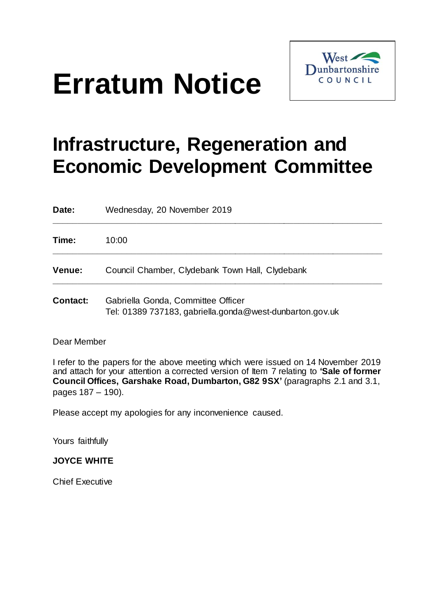# **Erratum Notice**



# **Infrastructure, Regeneration and Economic Development Committee**

| Date:           | Wednesday, 20 November 2019                                                                    |  |
|-----------------|------------------------------------------------------------------------------------------------|--|
| Time:           | 10:00                                                                                          |  |
| <b>Venue:</b>   | Council Chamber, Clydebank Town Hall, Clydebank                                                |  |
| <b>Contact:</b> | Gabriella Gonda, Committee Officer<br>Tel: 01389 737183, gabriella.gonda@west-dunbarton.gov.uk |  |

#### Dear Member

I refer to the papers for the above meeting which were issued on 14 November 2019 and attach for your attention a corrected version of Item 7 relating to **'Sale of former Council Offices, Garshake Road, Dumbarton, G82 9SX'** (paragraphs 2.1 and 3.1, pages 187 – 190).

Please accept my apologies for any inconvenience caused.

Yours faithfully

## **JOYCE WHITE**

Chief Executive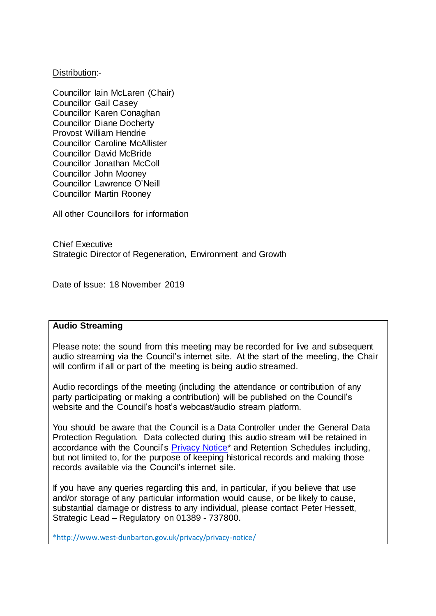#### Distribution:-

Councillor Iain McLaren (Chair) Councillor Gail Casey Councillor Karen Conaghan Councillor Diane Docherty Provost William Hendrie Councillor Caroline McAllister Councillor David McBride Councillor Jonathan McColl Councillor John Mooney Councillor Lawrence O'Neill Councillor Martin Rooney

All other Councillors for information

Chief Executive Strategic Director of Regeneration, Environment and Growth

Date of Issue: 18 November 2019

#### **Audio Streaming**

Please note: the sound from this meeting may be recorded for live and subsequent audio streaming via the Council's internet site. At the start of the meeting, the Chair will confirm if all or part of the meeting is being audio streamed.

Audio recordings of the meeting (including the attendance or contribution of any party participating or making a contribution) will be published on the Council's website and the Council's host's webcast/audio stream platform.

You should be aware that the Council is a Data Controller under the General Data Protection Regulation. Data collected during this audio stream will be retained in accordance with the Council's Privacy Notice<sup>\*</sup> and Retention Schedules including, but not limited to, for the purpose of keeping historical records and making those records available via the Council's internet site.

If you have any queries regarding this and, in particular, if you believe that use and/or storage of any particular information would cause, or be likely to cause, substantial damage or distress to any individual, please contact Peter Hessett, Strategic Lead – Regulatory on 01389 - 737800.

\*http://www.west-dunbarton.gov.uk/privacy/privacy-notice/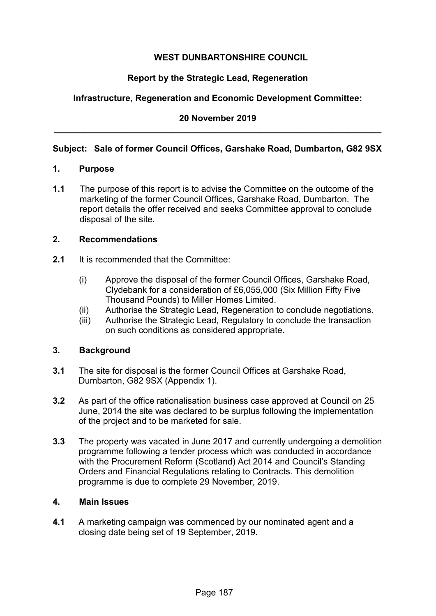# **WEST DUNBARTONSHIRE COUNCIL**

# **Report by the Strategic Lead, Regeneration**

# **Infrastructure, Regeneration and Economic Development Committee:**

# **20 November 2019 \_\_\_\_\_\_\_\_\_\_\_\_\_\_\_\_\_\_\_\_\_\_\_\_\_\_\_\_\_\_\_\_\_\_\_\_\_\_\_\_\_\_\_\_\_\_\_\_\_\_\_\_\_\_\_\_\_\_\_\_\_\_\_\_\_\_\_**

#### **Subject: Sale of former Council Offices, Garshake Road, Dumbarton, G82 9SX**

#### **1. Purpose**

**1.1** The purpose of this report is to advise the Committee on the outcome of the marketing of the former Council Offices, Garshake Road, Dumbarton. The report details the offer received and seeks Committee approval to conclude disposal of the site.

#### **2. Recommendations**

- **2.1** It is recommended that the Committee:
	- (i) Approve the disposal of the former Council Offices, Garshake Road, Clydebank for a consideration of £6,055,000 (Six Million Fifty Five Thousand Pounds) to Miller Homes Limited.
	- (ii) Authorise the Strategic Lead, Regeneration to conclude negotiations.
	- (iii) Authorise the Strategic Lead, Regulatory to conclude the transaction on such conditions as considered appropriate.

#### **3. Background**

- **3.1** The site for disposal is the former Council Offices at Garshake Road, Dumbarton, G82 9SX (Appendix 1).
- **3.2** As part of the office rationalisation business case approved at Council on 25 June, 2014 the site was declared to be surplus following the implementation of the project and to be marketed for sale.
- **3.3** The property was vacated in June 2017 and currently undergoing a demolition programme following a tender process which was conducted in accordance with the Procurement Reform (Scotland) Act 2014 and Council's Standing Orders and Financial Regulations relating to Contracts. This demolition programme is due to complete 29 November, 2019.

#### **4. Main Issues**

**4.1** A marketing campaign was commenced by our nominated agent and a closing date being set of 19 September, 2019.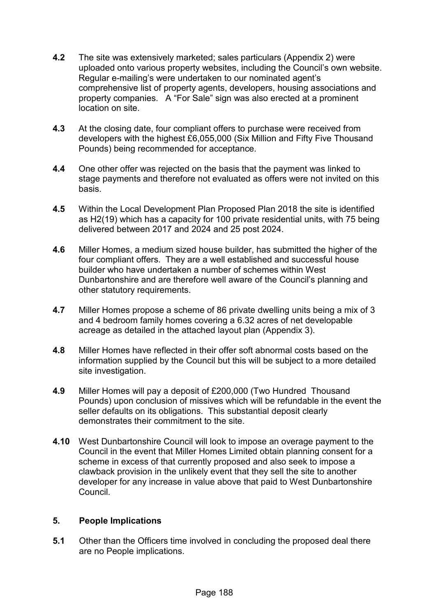- **4.2** The site was extensively marketed; sales particulars (Appendix 2) were uploaded onto various property websites, including the Council's own website. Regular e-mailing's were undertaken to our nominated agent's comprehensive list of property agents, developers, housing associations and property companies. A "For Sale" sign was also erected at a prominent location on site.
- **4.3** At the closing date, four compliant offers to purchase were received from developers with the highest £6,055,000 (Six Million and Fifty Five Thousand Pounds) being recommended for acceptance.
- **4.4** One other offer was rejected on the basis that the payment was linked to stage payments and therefore not evaluated as offers were not invited on this basis.
- **4.5** Within the Local Development Plan Proposed Plan 2018 the site is identified as H2(19) which has a capacity for 100 private residential units, with 75 being delivered between 2017 and 2024 and 25 post 2024.
- **4.6** Miller Homes, a medium sized house builder, has submitted the higher of the four compliant offers. They are a well established and successful house builder who have undertaken a number of schemes within West Dunbartonshire and are therefore well aware of the Council's planning and other statutory requirements.
- **4.7** Miller Homes propose a scheme of 86 private dwelling units being a mix of 3 and 4 bedroom family homes covering a 6.32 acres of net developable acreage as detailed in the attached layout plan (Appendix 3).
- **4.8** Miller Homes have reflected in their offer soft abnormal costs based on the information supplied by the Council but this will be subject to a more detailed site investigation.
- **4.9** Miller Homes will pay a deposit of £200,000 (Two Hundred Thousand Pounds) upon conclusion of missives which will be refundable in the event the seller defaults on its obligations. This substantial deposit clearly demonstrates their commitment to the site.
- **4.10** West Dunbartonshire Council will look to impose an overage payment to the Council in the event that Miller Homes Limited obtain planning consent for a scheme in excess of that currently proposed and also seek to impose a clawback provision in the unlikely event that they sell the site to another developer for any increase in value above that paid to West Dunbartonshire **Council**

#### **5. People Implications**

**5.1** Other than the Officers time involved in concluding the proposed deal there are no People implications.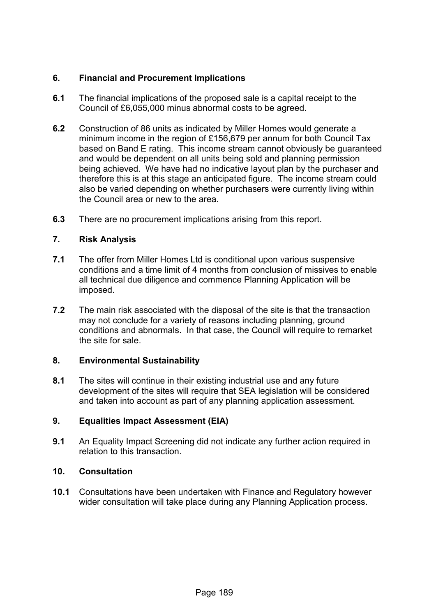# **6. Financial and Procurement Implications**

- **6.1** The financial implications of the proposed sale is a capital receipt to the Council of £6,055,000 minus abnormal costs to be agreed.
- **6.2** Construction of 86 units as indicated by Miller Homes would generate a minimum income in the region of £156,679 per annum for both Council Tax based on Band E rating. This income stream cannot obviously be guaranteed and would be dependent on all units being sold and planning permission being achieved. We have had no indicative layout plan by the purchaser and therefore this is at this stage an anticipated figure. The income stream could also be varied depending on whether purchasers were currently living within the Council area or new to the area.
- **6.3** There are no procurement implications arising from this report.

# **7. Risk Analysis**

- **7.1** The offer from Miller Homes Ltd is conditional upon various suspensive conditions and a time limit of 4 months from conclusion of missives to enable all technical due diligence and commence Planning Application will be imposed.
- **7.2** The main risk associated with the disposal of the site is that the transaction may not conclude for a variety of reasons including planning, ground conditions and abnormals. In that case, the Council will require to remarket the site for sale.

#### **8. Environmental Sustainability**

**8.1** The sites will continue in their existing industrial use and any future development of the sites will require that SEA legislation will be considered and taken into account as part of any planning application assessment.

# **9. Equalities Impact Assessment (EIA)**

**9.1** An Equality Impact Screening did not indicate any further action required in relation to this transaction.

# **10. Consultation**

**10.1** Consultations have been undertaken with Finance and Regulatory however wider consultation will take place during any Planning Application process.